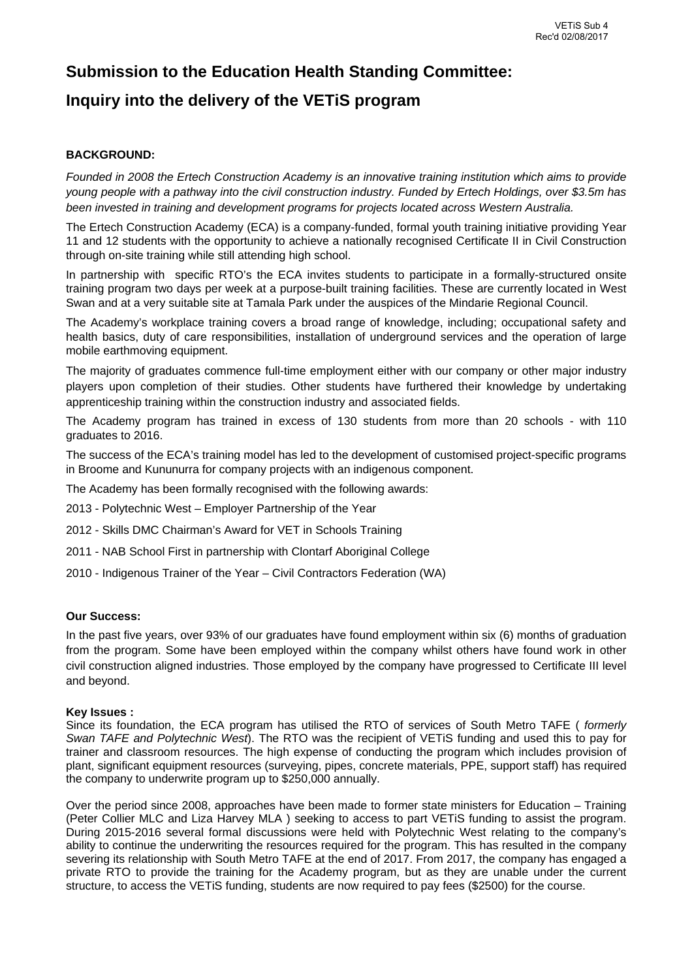# **Submission to the Education Health Standing Committee: Inquiry into the delivery of the VETiS program**

## **BACKGROUND:**

*Founded in 2008 the Ertech Construction Academy is an innovative training institution which aims to provide young people with a pathway into the civil construction industry. Funded by Ertech Holdings, over \$3.5m has been invested in training and development programs for projects located across Western Australia.* 

The Ertech Construction Academy (ECA) is a company-funded, formal youth training initiative providing Year 11 and 12 students with the opportunity to achieve a nationally recognised Certificate II in Civil Construction through on-site training while still attending high school.

In partnership with specific RTO's the ECA invites students to participate in a formally-structured onsite training program two days per week at a purpose-built training facilities. These are currently located in West Swan and at a very suitable site at Tamala Park under the auspices of the Mindarie Regional Council.

The Academy's workplace training covers a broad range of knowledge, including; occupational safety and health basics, duty of care responsibilities, installation of underground services and the operation of large mobile earthmoving equipment.

The majority of graduates commence full-time employment either with our company or other major industry players upon completion of their studies. Other students have furthered their knowledge by undertaking apprenticeship training within the construction industry and associated fields.

The Academy program has trained in excess of 130 students from more than 20 schools - with 110 graduates to 2016.

The success of the ECA's training model has led to the development of customised project-specific programs in Broome and Kununurra for company projects with an indigenous component.

The Academy has been formally recognised with the following awards:

- 2013 Polytechnic West Employer Partnership of the Year
- 2012 Skills DMC Chairman's Award for VET in Schools Training
- 2011 NAB School First in partnership with Clontarf Aboriginal College
- 2010 Indigenous Trainer of the Year Civil Contractors Federation (WA)

#### **Our Success:**

In the past five years, over 93% of our graduates have found employment within six (6) months of graduation from the program. Some have been employed within the company whilst others have found work in other civil construction aligned industries. Those employed by the company have progressed to Certificate III level and beyond.

#### **Key Issues :**

Since its foundation, the ECA program has utilised the RTO of services of South Metro TAFE ( *formerly Swan TAFE and Polytechnic West*). The RTO was the recipient of VETiS funding and used this to pay for trainer and classroom resources. The high expense of conducting the program which includes provision of plant, significant equipment resources (surveying, pipes, concrete materials, PPE, support staff) has required the company to underwrite program up to \$250,000 annually.

Over the period since 2008, approaches have been made to former state ministers for Education – Training (Peter Collier MLC and Liza Harvey MLA ) seeking to access to part VETiS funding to assist the program. During 2015-2016 several formal discussions were held with Polytechnic West relating to the company's ability to continue the underwriting the resources required for the program. This has resulted in the company severing its relationship with South Metro TAFE at the end of 2017. From 2017, the company has engaged a private RTO to provide the training for the Academy program, but as they are unable under the current structure, to access the VETiS funding, students are now required to pay fees (\$2500) for the course.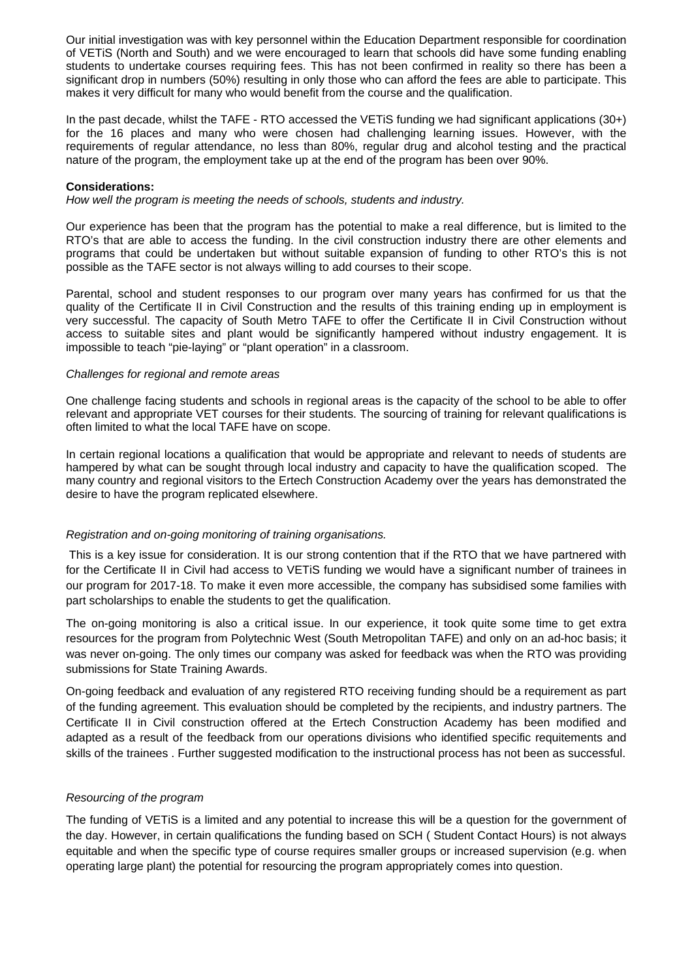Our initial investigation was with key personnel within the Education Department responsible for coordination of VETiS (North and South) and we were encouraged to learn that schools did have some funding enabling students to undertake courses requiring fees. This has not been confirmed in reality so there has been a significant drop in numbers (50%) resulting in only those who can afford the fees are able to participate. This makes it very difficult for many who would benefit from the course and the qualification.

In the past decade, whilst the TAFE - RTO accessed the VETiS funding we had significant applications (30+) for the 16 places and many who were chosen had challenging learning issues. However, with the requirements of regular attendance, no less than 80%, regular drug and alcohol testing and the practical nature of the program, the employment take up at the end of the program has been over 90%.

#### **Considerations:**

*How well the program is meeting the needs of schools, students and industry.* 

Our experience has been that the program has the potential to make a real difference, but is limited to the RTO's that are able to access the funding. In the civil construction industry there are other elements and programs that could be undertaken but without suitable expansion of funding to other RTO's this is not possible as the TAFE sector is not always willing to add courses to their scope.

Parental, school and student responses to our program over many years has confirmed for us that the quality of the Certificate II in Civil Construction and the results of this training ending up in employment is very successful. The capacity of South Metro TAFE to offer the Certificate II in Civil Construction without access to suitable sites and plant would be significantly hampered without industry engagement. It is impossible to teach "pie-laying" or "plant operation" in a classroom.

#### *Challenges for regional and remote areas*

One challenge facing students and schools in regional areas is the capacity of the school to be able to offer relevant and appropriate VET courses for their students. The sourcing of training for relevant qualifications is often limited to what the local TAFE have on scope.

In certain regional locations a qualification that would be appropriate and relevant to needs of students are hampered by what can be sought through local industry and capacity to have the qualification scoped. The many country and regional visitors to the Ertech Construction Academy over the years has demonstrated the desire to have the program replicated elsewhere.

## *Registration and on-going monitoring of training organisations.*

 This is a key issue for consideration. It is our strong contention that if the RTO that we have partnered with for the Certificate II in Civil had access to VETiS funding we would have a significant number of trainees in our program for 2017-18. To make it even more accessible, the company has subsidised some families with part scholarships to enable the students to get the qualification.

The on-going monitoring is also a critical issue. In our experience, it took quite some time to get extra resources for the program from Polytechnic West (South Metropolitan TAFE) and only on an ad-hoc basis; it was never on-going. The only times our company was asked for feedback was when the RTO was providing submissions for State Training Awards.

On-going feedback and evaluation of any registered RTO receiving funding should be a requirement as part of the funding agreement. This evaluation should be completed by the recipients, and industry partners. The Certificate II in Civil construction offered at the Ertech Construction Academy has been modified and adapted as a result of the feedback from our operations divisions who identified specific requitements and skills of the trainees . Further suggested modification to the instructional process has not been as successful.

## *Resourcing of the program*

The funding of VETiS is a limited and any potential to increase this will be a question for the government of the day. However, in certain qualifications the funding based on SCH ( Student Contact Hours) is not always equitable and when the specific type of course requires smaller groups or increased supervision (e.g. when operating large plant) the potential for resourcing the program appropriately comes into question.